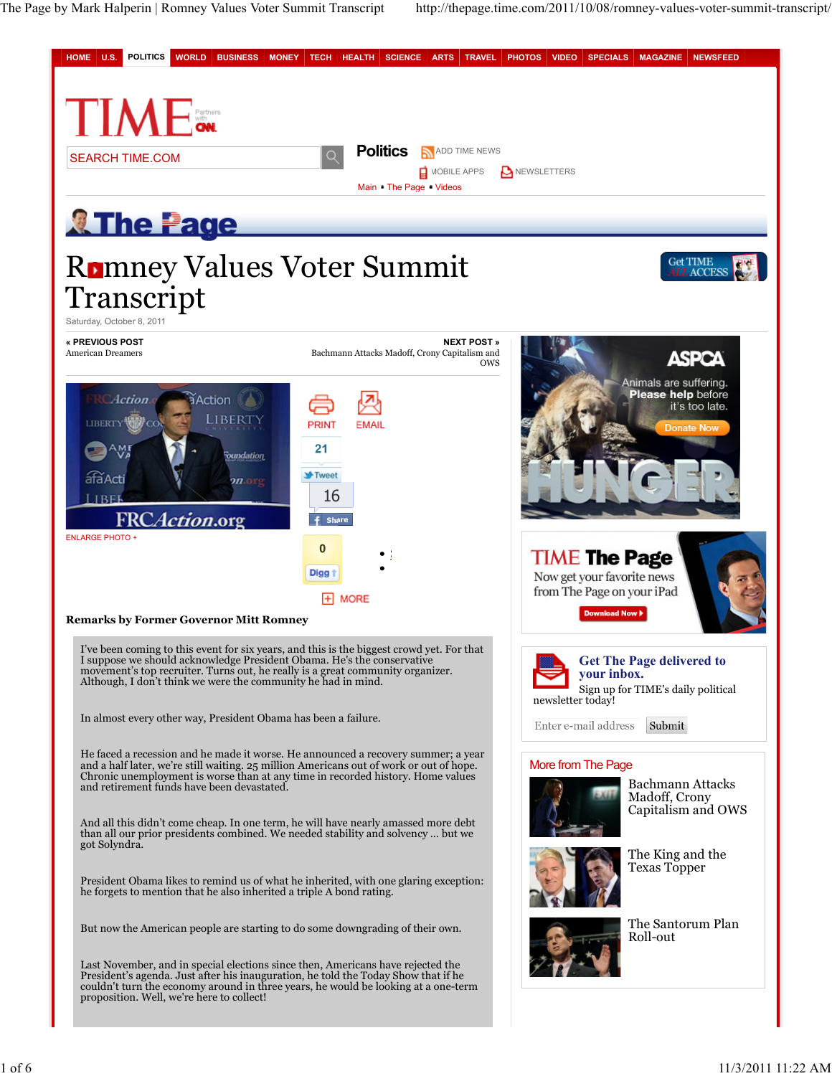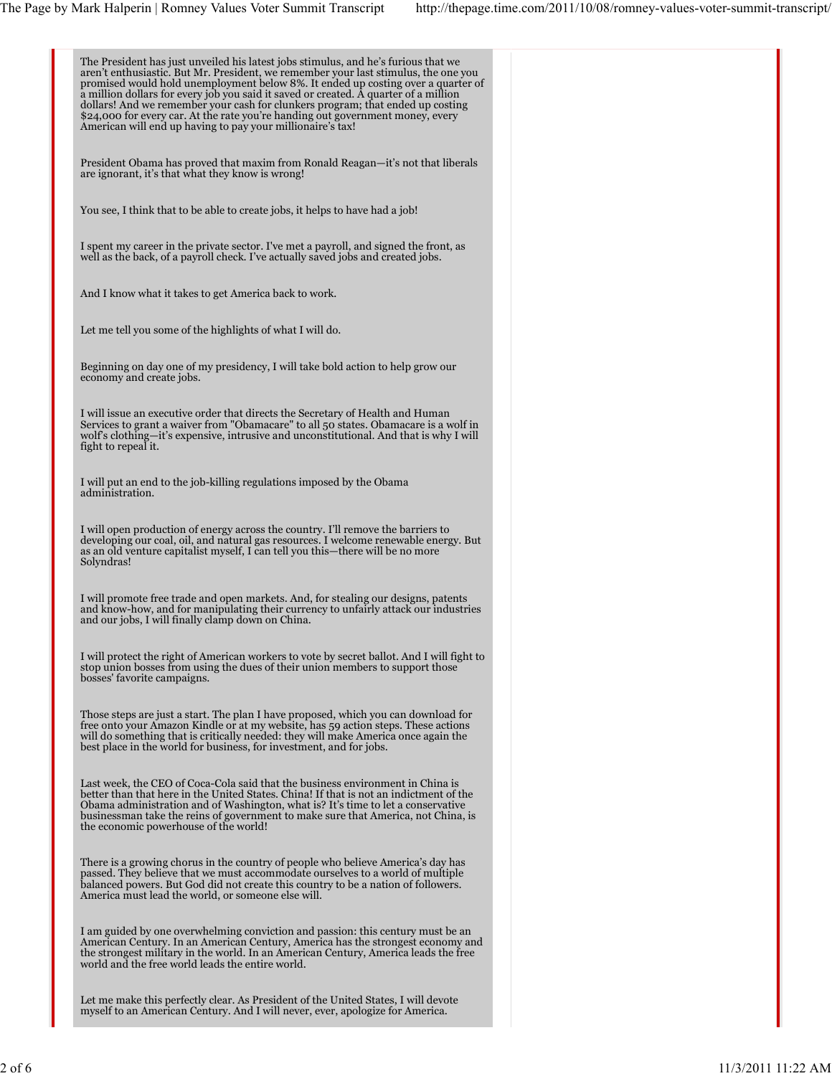| The President has just unveiled his latest jobs stimulus, and he's furious that we<br>aren't enthusiastic. But Mr. President, we remember your last stimulus, the one you<br>promised would hold unemployment below 8%. It ended up costing over a quarter of<br>a million dollars for every job you said it saved or created. A quarter of a million<br>dollars! And we remember your cash for clunkers program; that ended up costing<br>\$24,000 for every car. At the rate you're handing out government money, every<br>American will end up having to pay your millionaire's tax! |  |
|-----------------------------------------------------------------------------------------------------------------------------------------------------------------------------------------------------------------------------------------------------------------------------------------------------------------------------------------------------------------------------------------------------------------------------------------------------------------------------------------------------------------------------------------------------------------------------------------|--|
| President Obama has proved that maxim from Ronald Reagan—it's not that liberals<br>are ignorant, it's that what they know is wrong!                                                                                                                                                                                                                                                                                                                                                                                                                                                     |  |
| You see, I think that to be able to create jobs, it helps to have had a job!                                                                                                                                                                                                                                                                                                                                                                                                                                                                                                            |  |
| I spent my career in the private sector. I've met a payroll, and signed the front, as<br>well as the back, of a payroll check. I've actually saved jobs and created jobs.                                                                                                                                                                                                                                                                                                                                                                                                               |  |
| And I know what it takes to get America back to work.                                                                                                                                                                                                                                                                                                                                                                                                                                                                                                                                   |  |
| Let me tell you some of the highlights of what I will do.                                                                                                                                                                                                                                                                                                                                                                                                                                                                                                                               |  |
| Beginning on day one of my presidency, I will take bold action to help grow our<br>economy and create jobs.                                                                                                                                                                                                                                                                                                                                                                                                                                                                             |  |
| I will issue an executive order that directs the Secretary of Health and Human<br>Services to grant a waiver from "Obamacare" to all 50 states. Obamacare is a wolf in<br>wolf's clothing—it's expensive, intrusive and unconstitutional. And that is why I will<br>fight to repeal it.                                                                                                                                                                                                                                                                                                 |  |
| I will put an end to the job-killing regulations imposed by the Obama<br>administration.                                                                                                                                                                                                                                                                                                                                                                                                                                                                                                |  |
| I will open production of energy across the country. I'll remove the barriers to<br>developing our coal, oil, and natural gas resources. I welcome renewable energy. But<br>as an old venture capitalist myself, I can tell you this—there will be no more<br>Solyndras!                                                                                                                                                                                                                                                                                                                |  |
| I will promote free trade and open markets. And, for stealing our designs, patents<br>and know-how, and for manipulating their currency to unfairly attack our industries<br>and our jobs, I will finally clamp down on China.                                                                                                                                                                                                                                                                                                                                                          |  |
| I will protect the right of American workers to vote by secret ballot. And I will fight to<br>stop union bosses from using the dues of their union members to support those<br>bosses' favorite campaigns.                                                                                                                                                                                                                                                                                                                                                                              |  |
| Those steps are just a start. The plan I have proposed, which you can download for<br>free onto your Amazon Kindle or at my website, has 59 action steps. These actions<br>will do something that is critically needed: they will make America once again the<br>best place in the world for business, for investment, and for jobs.                                                                                                                                                                                                                                                    |  |
| Last week, the CEO of Coca-Cola said that the business environment in China is<br>better than that here in the United States. China! If that is not an indictment of the<br>Obama administration and of Washington, what is? It's time to let a conservative<br>businessman take the reins of government to make sure that America, not China, is<br>the economic powerhouse of the world!                                                                                                                                                                                              |  |
| There is a growing chorus in the country of people who believe America's day has<br>passed. They believe that we must accommodate ourselves to a world of multiple<br>balanced powers. But God did not create this country to be a nation of followers.<br>America must lead the world, or someone else will.                                                                                                                                                                                                                                                                           |  |
| I am guided by one overwhelming conviction and passion: this century must be an<br>American Century. In an American Century, America has the strongest economy and<br>the strongest military in the world. In an American Century, America leads the free<br>world and the free world leads the entire world.                                                                                                                                                                                                                                                                           |  |
| Let me make this perfectly clear. As President of the United States, I will devote<br>myself to an American Century. And I will never, ever, apologize for America.                                                                                                                                                                                                                                                                                                                                                                                                                     |  |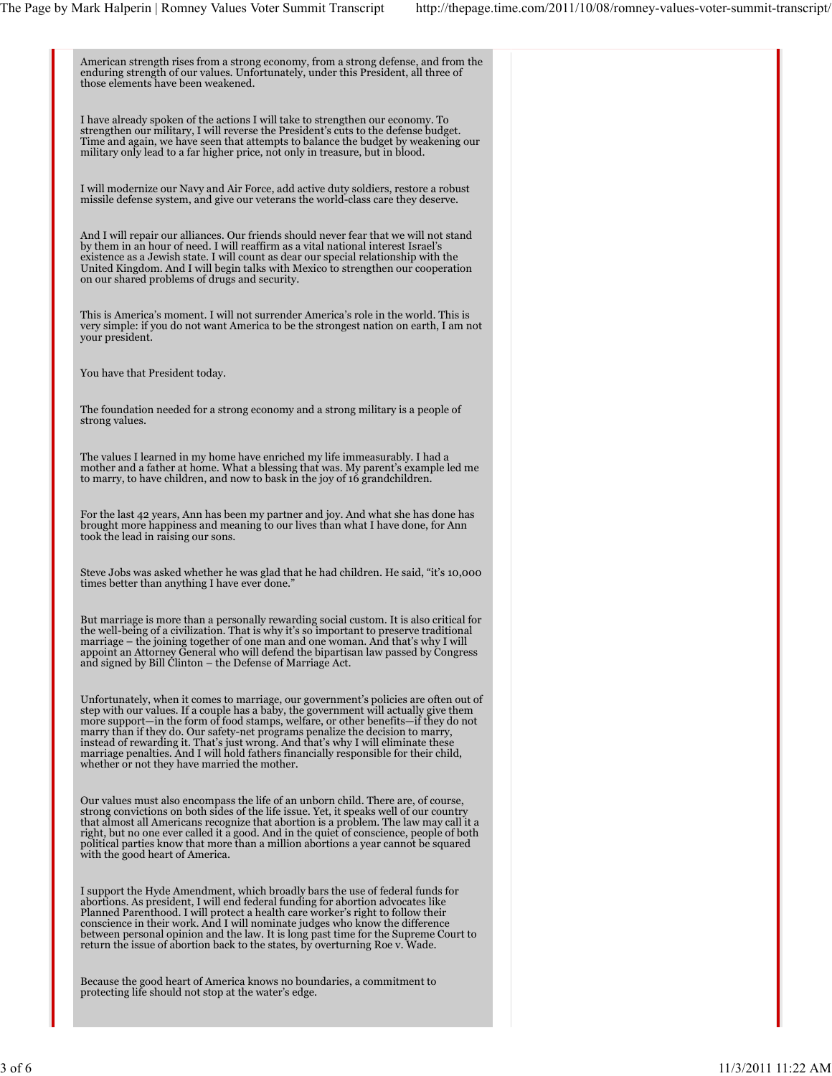| American strength rises from a strong economy, from a strong defense, and from the<br>enduring strength of our values. Unfortunately, under this President, all three of<br>those elements have been weakened.                                                                                                                                                                                                                                                                                                                                                                    |  |
|-----------------------------------------------------------------------------------------------------------------------------------------------------------------------------------------------------------------------------------------------------------------------------------------------------------------------------------------------------------------------------------------------------------------------------------------------------------------------------------------------------------------------------------------------------------------------------------|--|
| I have already spoken of the actions I will take to strengthen our economy. To<br>strengthen our military, I will reverse the President's cuts to the defense budget.<br>Time and again, we have seen that attempts to balance the budget by weakening our<br>military only lead to a far higher price, not only in treasure, but in blood.                                                                                                                                                                                                                                       |  |
| I will modernize our Navy and Air Force, add active duty soldiers, restore a robust<br>missile defense system, and give our veterans the world-class care they deserve.                                                                                                                                                                                                                                                                                                                                                                                                           |  |
| And I will repair our alliances. Our friends should never fear that we will not stand<br>by them in an hour of need. I will reaffirm as a vital national interest Israel's<br>existence as a Jewish state. I will count as dear our special relationship with the<br>United Kingdom. And I will begin talks with Mexico to strengthen our cooperation<br>on our shared problems of drugs and security.                                                                                                                                                                            |  |
| This is America's moment. I will not surrender America's role in the world. This is<br>very simple: if you do not want America to be the strongest nation on earth, I am not<br>your president.                                                                                                                                                                                                                                                                                                                                                                                   |  |
| You have that President today.                                                                                                                                                                                                                                                                                                                                                                                                                                                                                                                                                    |  |
| The foundation needed for a strong economy and a strong military is a people of<br>strong values.                                                                                                                                                                                                                                                                                                                                                                                                                                                                                 |  |
| The values I learned in my home have enriched my life immeasurably. I had a<br>mother and a father at home. What a blessing that was. My parent's example led me<br>to marry, to have children, and now to bask in the joy of 16 grand children.                                                                                                                                                                                                                                                                                                                                  |  |
| For the last 42 years, Ann has been my partner and joy. And what she has done has<br>brought more happiness and meaning to our lives than what I have done, for Ann<br>took the lead in raising our sons.                                                                                                                                                                                                                                                                                                                                                                         |  |
| Steve Jobs was asked whether he was glad that he had children. He said, "it's 10,000<br>times better than anything I have ever done."                                                                                                                                                                                                                                                                                                                                                                                                                                             |  |
| But marriage is more than a personally rewarding social custom. It is also critical for<br>the well-being of a civilization. That is why it's so important to preserve traditional<br>marriage – the joining together of one man and one woman. And that's why I will<br>appoint an Attorney General who will defend the bipartisan law passed by Congress<br>and signed by Bill Clinton – the Defense of Marriage Act.                                                                                                                                                           |  |
| Unfortunately, when it comes to marriage, our government's policies are often out of<br>step with our values. If a couple has a baby, the government will actually give them<br>more support—in the form of food stamps, welfare, or other benefits—if they do not<br>marry than if they do. Our safety-net programs penalize the decision to marry,<br>instead of rewarding it. That's just wrong. And that's why I will eliminate these<br>marriage penalties. And I will hold fathers financially responsible for their child,<br>whether or not they have married the mother. |  |
| Our values must also encompass the life of an unborn child. There are, of course,<br>strong convictions on both sides of the life issue. Yet, it speaks well of our country<br>that almost all Americans recognize that abortion is a problem. The law may call it a<br>right, but no one ever called it a good. And in the quiet of conscience, people of both<br>political parties know that more than a million abortions a year cannot be squared<br>with the good heart of America.                                                                                          |  |
| I support the Hyde Amendment, which broadly bars the use of federal funds for<br>abortions. As president, I will end federal funding for abortion advocates like<br>Planned Parenthood. I will protect a health care worker's right to follow their<br>conscience in their work. And I will nominate judges who know the difference<br>between personal opinion and the law. It is long past time for the Supreme Court to<br>return the issue of abortion back to the states, by overturning Roe v. Wade.                                                                        |  |
| Because the good heart of America knows no boundaries, a commitment to<br>protecting life should not stop at the water's edge.                                                                                                                                                                                                                                                                                                                                                                                                                                                    |  |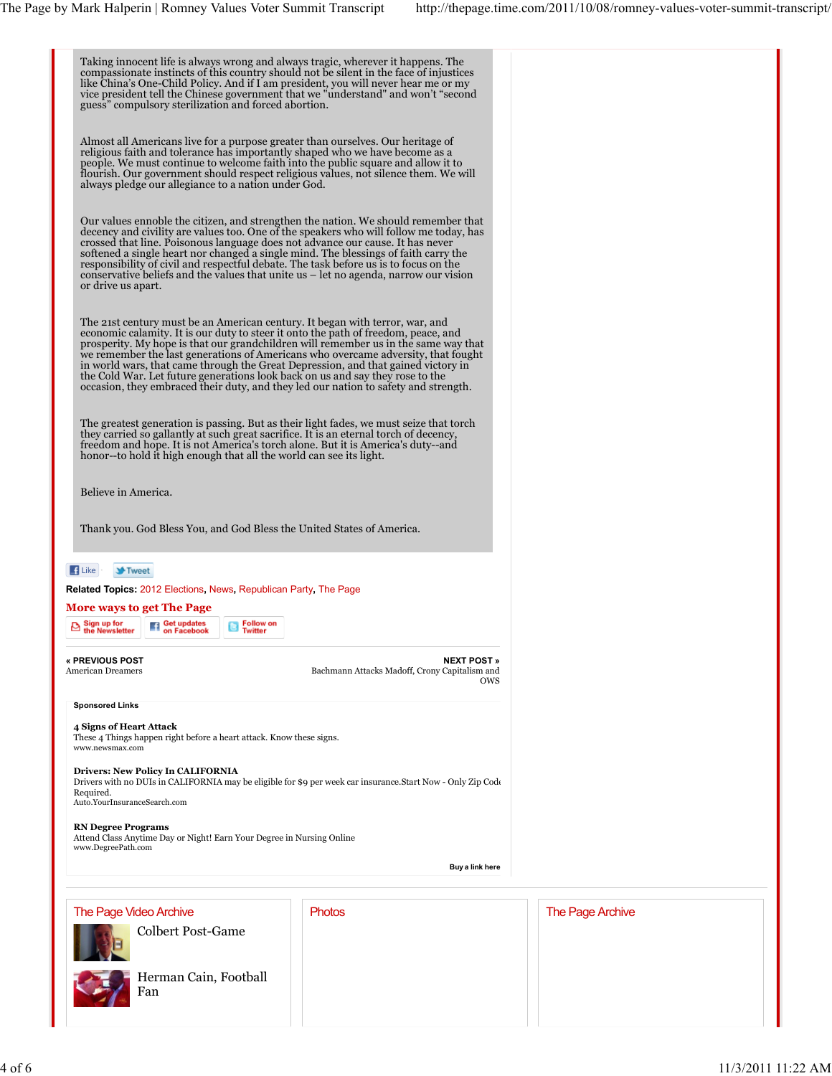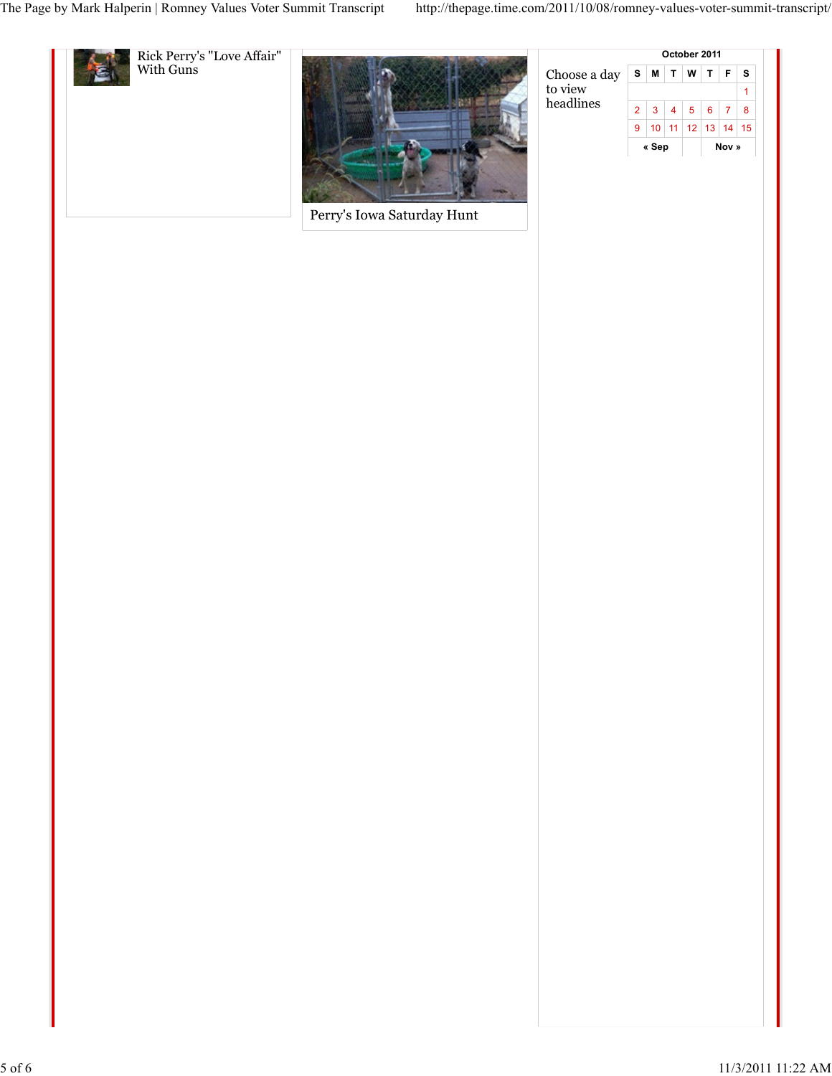